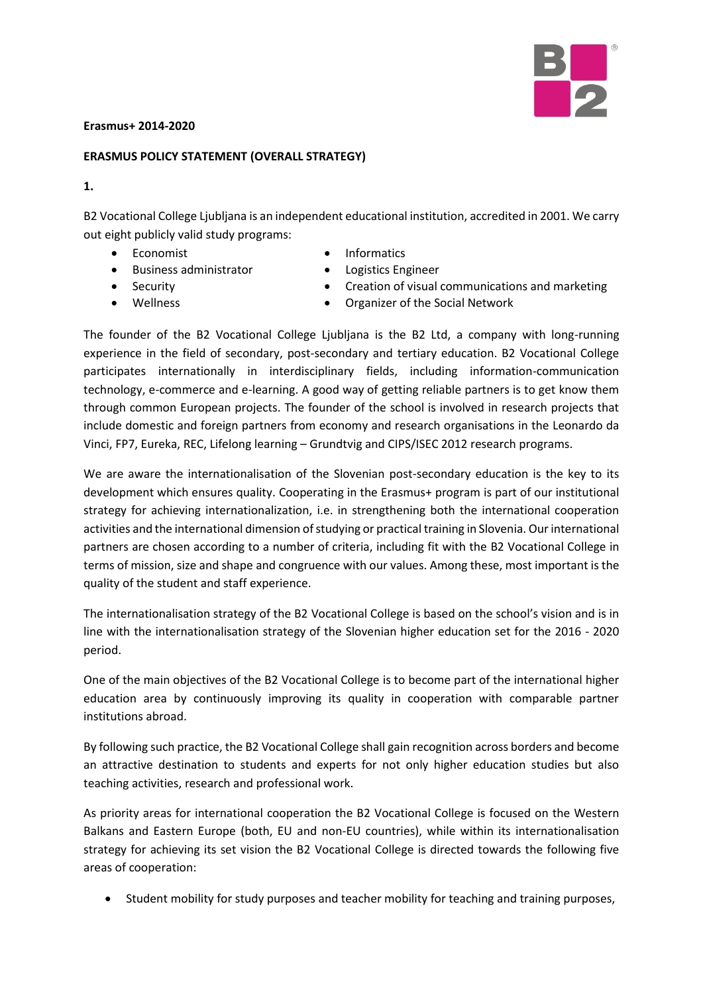

## **Erasmus+ 2014-2020**

## **ERASMUS POLICY STATEMENT (OVERALL STRATEGY)**

## **1.**

B2 Vocational College Ljubljana is an independent educational institution, accredited in 2001. We carry out eight publicly valid study programs:

• Economist

- Informatics
- Business administrator
- Security
- **Wellness**
- Logistics Engineer
- Creation of visual communications and marketing
- Organizer of the Social Network

The founder of the B2 Vocational College Ljubljana is the B2 Ltd, a company with long-running experience in the field of secondary, post-secondary and tertiary education. B2 Vocational College participates internationally in interdisciplinary fields, including information-communication technology, e-commerce and e-learning. A good way of getting reliable partners is to get know them through common European projects. The founder of the school is involved in research projects that include domestic and foreign partners from economy and research organisations in the Leonardo da Vinci, FP7, Eureka, REC, Lifelong learning – Grundtvig and CIPS/ISEC 2012 research programs.

We are aware the internationalisation of the Slovenian post-secondary education is the key to its development which ensures quality. Cooperating in the Erasmus+ program is part of our institutional strategy for achieving internationalization, i.e. in strengthening both the international cooperation activities and the international dimension of studying or practical training in Slovenia. Our international partners are chosen according to a number of criteria, including fit with the B2 Vocational College in terms of mission, size and shape and congruence with our values. Among these, most important is the quality of the student and staff experience.

The internationalisation strategy of the B2 Vocational College is based on the school's vision and is in line with the internationalisation strategy of the Slovenian higher education set for the 2016 - 2020 period.

One of the main objectives of the B2 Vocational College is to become part of the international higher education area by continuously improving its quality in cooperation with comparable partner institutions abroad.

By following such practice, the B2 Vocational College shall gain recognition across borders and become an attractive destination to students and experts for not only higher education studies but also teaching activities, research and professional work.

As priority areas for international cooperation the B2 Vocational College is focused on the Western Balkans and Eastern Europe (both, EU and non-EU countries), while within its internationalisation strategy for achieving its set vision the B2 Vocational College is directed towards the following five areas of cooperation:

• Student mobility for study purposes and teacher mobility for teaching and training purposes,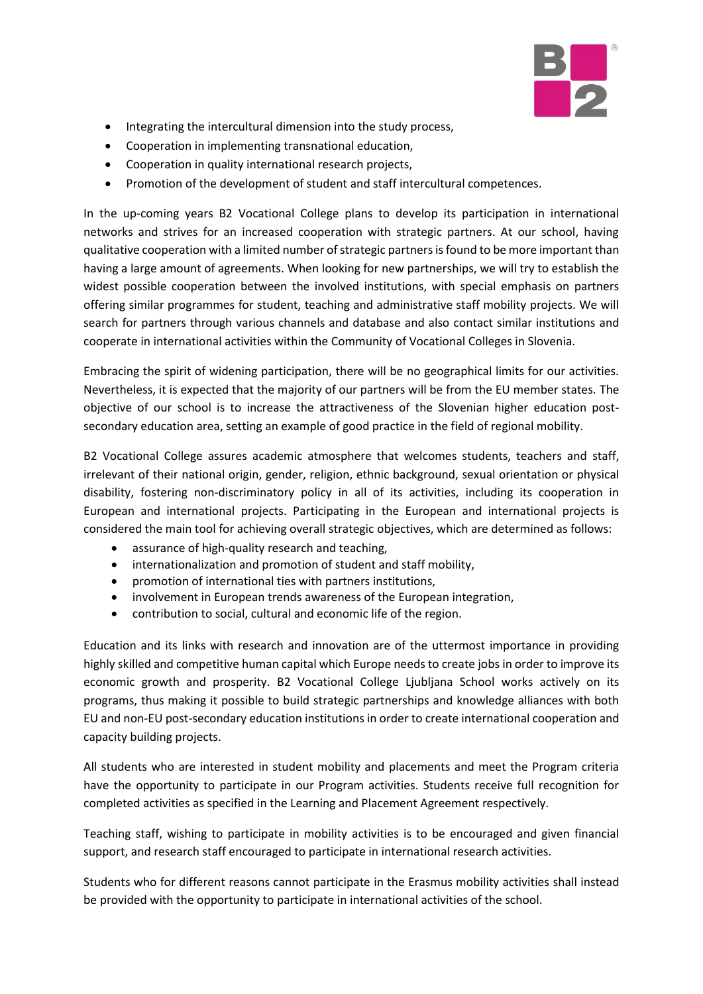

- Integrating the intercultural dimension into the study process,
- Cooperation in implementing transnational education,
- Cooperation in quality international research projects,
- Promotion of the development of student and staff intercultural competences.

In the up-coming years B2 Vocational College plans to develop its participation in international networks and strives for an increased cooperation with strategic partners. At our school, having qualitative cooperation with a limited number of strategic partners is found to be more important than having a large amount of agreements. When looking for new partnerships, we will try to establish the widest possible cooperation between the involved institutions, with special emphasis on partners offering similar programmes for student, teaching and administrative staff mobility projects. We will search for partners through various channels and database and also contact similar institutions and cooperate in international activities within the Community of Vocational Colleges in Slovenia.

Embracing the spirit of widening participation, there will be no geographical limits for our activities. Nevertheless, it is expected that the majority of our partners will be from the EU member states. The objective of our school is to increase the attractiveness of the Slovenian higher education postsecondary education area, setting an example of good practice in the field of regional mobility.

B2 Vocational College assures academic atmosphere that welcomes students, teachers and staff, irrelevant of their national origin, gender, religion, ethnic background, sexual orientation or physical disability, fostering non-discriminatory policy in all of its activities, including its cooperation in European and international projects. Participating in the European and international projects is considered the main tool for achieving overall strategic objectives, which are determined as follows:

- assurance of high-quality research and teaching,
- internationalization and promotion of student and staff mobility,
- promotion of international ties with partners institutions,
- involvement in European trends awareness of the European integration,
- contribution to social, cultural and economic life of the region.

Education and its links with research and innovation are of the uttermost importance in providing highly skilled and competitive human capital which Europe needs to create jobs in order to improve its economic growth and prosperity. B2 Vocational College Ljubljana School works actively on its programs, thus making it possible to build strategic partnerships and knowledge alliances with both EU and non-EU post-secondary education institutions in order to create international cooperation and capacity building projects.

All students who are interested in student mobility and placements and meet the Program criteria have the opportunity to participate in our Program activities. Students receive full recognition for completed activities as specified in the Learning and Placement Agreement respectively.

Teaching staff, wishing to participate in mobility activities is to be encouraged and given financial support, and research staff encouraged to participate in international research activities.

Students who for different reasons cannot participate in the Erasmus mobility activities shall instead be provided with the opportunity to participate in international activities of the school.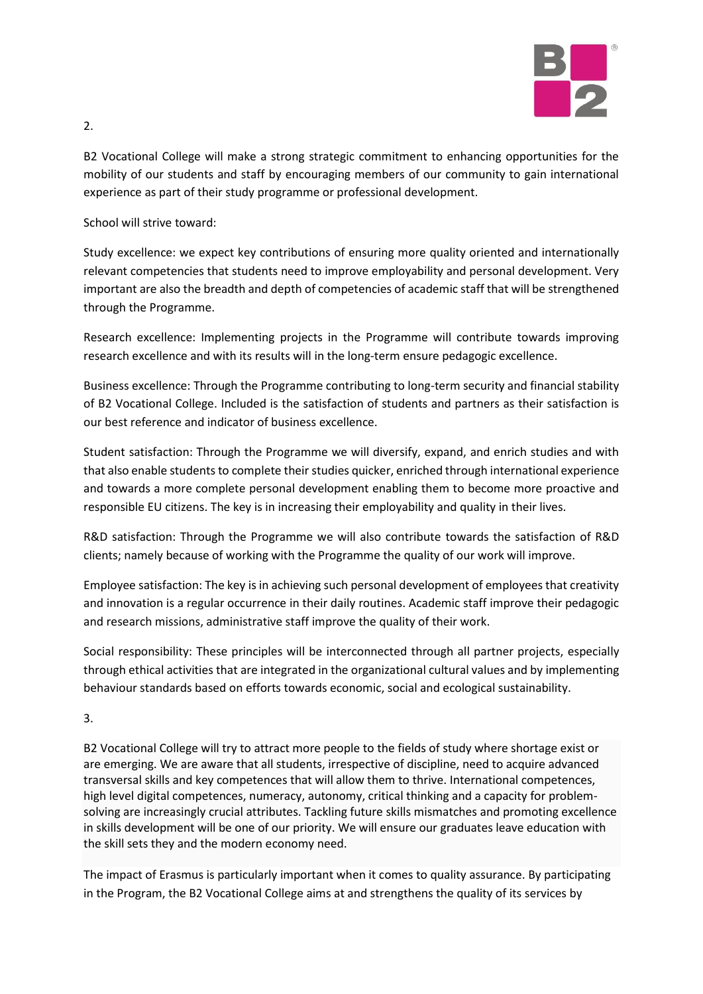

B2 Vocational College will make a strong strategic commitment to enhancing opportunities for the mobility of our students and staff by encouraging members of our community to gain international experience as part of their study programme or professional development.

School will strive toward:

Study excellence: we expect key contributions of ensuring more quality oriented and internationally relevant competencies that students need to improve employability and personal development. Very important are also the breadth and depth of competencies of academic staff that will be strengthened through the Programme.

Research excellence: Implementing projects in the Programme will contribute towards improving research excellence and with its results will in the long-term ensure pedagogic excellence.

Business excellence: Through the Programme contributing to long-term security and financial stability of B2 Vocational College. Included is the satisfaction of students and partners as their satisfaction is our best reference and indicator of business excellence.

Student satisfaction: Through the Programme we will diversify, expand, and enrich studies and with that also enable students to complete their studies quicker, enriched through international experience and towards a more complete personal development enabling them to become more proactive and responsible EU citizens. The key is in increasing their employability and quality in their lives.

R&D satisfaction: Through the Programme we will also contribute towards the satisfaction of R&D clients; namely because of working with the Programme the quality of our work will improve.

Employee satisfaction: The key is in achieving such personal development of employees that creativity and innovation is a regular occurrence in their daily routines. Academic staff improve their pedagogic and research missions, administrative staff improve the quality of their work.

Social responsibility: These principles will be interconnected through all partner projects, especially through ethical activities that are integrated in the organizational cultural values and by implementing behaviour standards based on efforts towards economic, social and ecological sustainability.

3.

B2 Vocational College will try to attract more people to the fields of study where shortage exist or are emerging. We are aware that all students, irrespective of discipline, need to acquire advanced transversal skills and key competences that will allow them to thrive. International competences, high level digital competences, numeracy, autonomy, critical thinking and a capacity for problemsolving are increasingly crucial attributes. Tackling future skills mismatches and promoting excellence in skills development will be one of our priority. We will ensure our graduates leave education with the skill sets they and the modern economy need.

The impact of Erasmus is particularly important when it comes to quality assurance. By participating in the Program, the B2 Vocational College aims at and strengthens the quality of its services by

2.